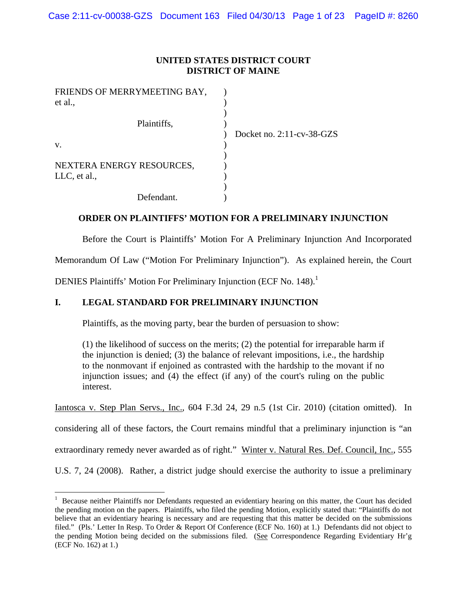# **UNITED STATES DISTRICT COURT DISTRICT OF MAINE**

| FRIENDS OF MERRYMEETING BAY, |                           |
|------------------------------|---------------------------|
| et al.,                      |                           |
|                              |                           |
| Plaintiffs,                  |                           |
|                              | Docket no. 2:11-cv-38-GZS |
| V.                           |                           |
|                              |                           |
| NEXTERA ENERGY RESOURCES,    |                           |
| LLC, et al.,                 |                           |
|                              |                           |
| Defendant.                   |                           |

# **ORDER ON PLAINTIFFS' MOTION FOR A PRELIMINARY INJUNCTION**

Before the Court is Plaintiffs' Motion For A Preliminary Injunction And Incorporated

Memorandum Of Law ("Motion For Preliminary Injunction"). As explained herein, the Court

DENIES Plaintiffs' Motion For Preliminary Injunction (ECF No. 148).<sup>1</sup>

# **I. LEGAL STANDARD FOR PRELIMINARY INJUNCTION**

Plaintiffs, as the moving party, bear the burden of persuasion to show:

(1) the likelihood of success on the merits; (2) the potential for irreparable harm if the injunction is denied; (3) the balance of relevant impositions, i.e., the hardship to the nonmovant if enjoined as contrasted with the hardship to the movant if no injunction issues; and (4) the effect (if any) of the court's ruling on the public interest.

Iantosca v. Step Plan Servs., Inc.*,* 604 F.3d 24, 29 n.5 (1st Cir. 2010) (citation omitted). In

considering all of these factors, the Court remains mindful that a preliminary injunction is "an

extraordinary remedy never awarded as of right." Winter v. Natural Res. Def. Council, Inc., 555

U.S. 7, 24 (2008). Rather, a district judge should exercise the authority to issue a preliminary

<sup>&</sup>lt;sup>1</sup> Because neither Plaintiffs nor Defendants requested an evidentiary hearing on this matter, the Court has decided the pending motion on the papers. Plaintiffs, who filed the pending Motion, explicitly stated that: "Plaintiffs do not believe that an evidentiary hearing is necessary and are requesting that this matter be decided on the submissions filed." (Pls.' Letter In Resp. To Order & Report Of Conference (ECF No. 160) at 1.) Defendants did not object to the pending Motion being decided on the submissions filed. (See Correspondence Regarding Evidentiary Hr'g (ECF No. 162) at 1.)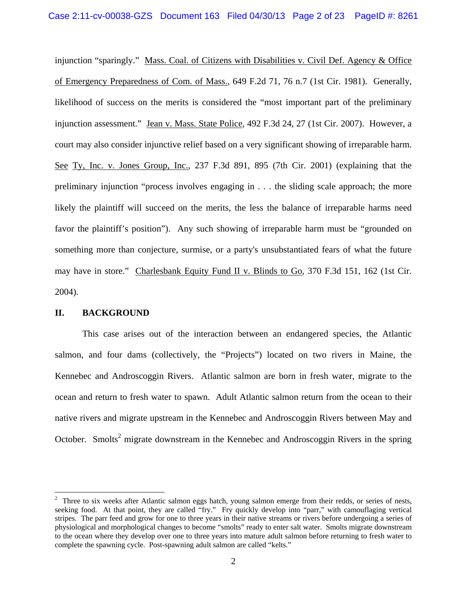injunction "sparingly." Mass. Coal. of Citizens with Disabilities v. Civil Def. Agency & Office of Emergency Preparedness of Com. of Mass., 649 F.2d 71, 76 n.7 (1st Cir. 1981). Generally, likelihood of success on the merits is considered the "most important part of the preliminary injunction assessment." Jean v. Mass. State Police*,* 492 F.3d 24, 27 (1st Cir. 2007). However, a court may also consider injunctive relief based on a very significant showing of irreparable harm. See Ty, Inc. v. Jones Group, Inc., 237 F.3d 891, 895 (7th Cir. 2001) (explaining that the preliminary injunction "process involves engaging in . . . the sliding scale approach; the more likely the plaintiff will succeed on the merits, the less the balance of irreparable harms need favor the plaintiff's position"). Any such showing of irreparable harm must be "grounded on something more than conjecture, surmise, or a party's unsubstantiated fears of what the future may have in store." Charlesbank Equity Fund II v. Blinds to Go*,* 370 F.3d 151, 162 (1st Cir. 2004).

## **II. BACKGROUND**

This case arises out of the interaction between an endangered species, the Atlantic salmon, and four dams (collectively, the "Projects") located on two rivers in Maine, the Kennebec and Androscoggin Rivers. Atlantic salmon are born in fresh water, migrate to the ocean and return to fresh water to spawn. Adult Atlantic salmon return from the ocean to their native rivers and migrate upstream in the Kennebec and Androscoggin Rivers between May and October. Smolts<sup>2</sup> migrate downstream in the Kennebec and Androscoggin Rivers in the spring

<sup>&</sup>lt;sup>2</sup> Three to six weeks after Atlantic salmon eggs hatch, young salmon emerge from their redds, or series of nests, seeking food. At that point, they are called "fry." Fry quickly develop into "parr," with camouflaging vertical stripes. The parr feed and grow for one to three years in their native streams or rivers before undergoing a series of physiological and morphological changes to become "smolts" ready to enter salt water. Smolts migrate downstream to the ocean where they develop over one to three years into mature adult salmon before returning to fresh water to complete the spawning cycle. Post-spawning adult salmon are called "kelts."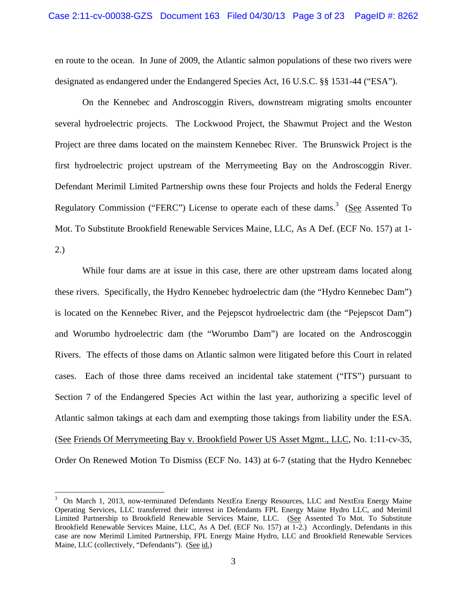en route to the ocean. In June of 2009, the Atlantic salmon populations of these two rivers were designated as endangered under the Endangered Species Act, 16 U.S.C. §§ 1531-44 ("ESA").

On the Kennebec and Androscoggin Rivers, downstream migrating smolts encounter several hydroelectric projects. The Lockwood Project, the Shawmut Project and the Weston Project are three dams located on the mainstem Kennebec River. The Brunswick Project is the first hydroelectric project upstream of the Merrymeeting Bay on the Androscoggin River. Defendant Merimil Limited Partnership owns these four Projects and holds the Federal Energy Regulatory Commission ("FERC") License to operate each of these dams.<sup>3</sup> (See Assented To Mot. To Substitute Brookfield Renewable Services Maine, LLC, As A Def. (ECF No. 157) at 1- 2.)

While four dams are at issue in this case, there are other upstream dams located along these rivers. Specifically, the Hydro Kennebec hydroelectric dam (the "Hydro Kennebec Dam") is located on the Kennebec River, and the Pejepscot hydroelectric dam (the "Pejepscot Dam") and Worumbo hydroelectric dam (the "Worumbo Dam") are located on the Androscoggin Rivers. The effects of those dams on Atlantic salmon were litigated before this Court in related cases. Each of those three dams received an incidental take statement ("ITS") pursuant to Section 7 of the Endangered Species Act within the last year, authorizing a specific level of Atlantic salmon takings at each dam and exempting those takings from liability under the ESA. (See Friends Of Merrymeeting Bay v. Brookfield Power US Asset Mgmt., LLC, No. 1:11-cv-35, Order On Renewed Motion To Dismiss (ECF No. 143) at 6-7 (stating that the Hydro Kennebec

<sup>3</sup> On March 1, 2013, now-terminated Defendants NextEra Energy Resources, LLC and NextEra Energy Maine Operating Services, LLC transferred their interest in Defendants FPL Energy Maine Hydro LLC, and Merimil Limited Partnership to Brookfield Renewable Services Maine, LLC. (See Assented To Mot. To Substitute Brookfield Renewable Services Maine, LLC, As A Def. (ECF No. 157) at 1-2.) Accordingly, Defendants in this case are now Merimil Limited Partnership, FPL Energy Maine Hydro, LLC and Brookfield Renewable Services Maine, LLC (collectively, "Defendants"). (See id.)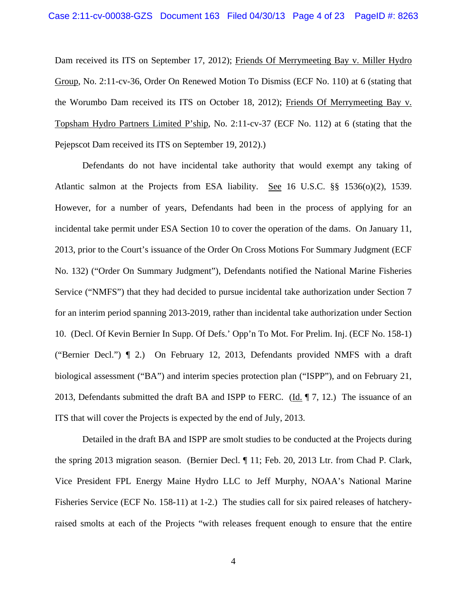Dam received its ITS on September 17, 2012); Friends Of Merrymeeting Bay v. Miller Hydro Group, No. 2:11-cv-36, Order On Renewed Motion To Dismiss (ECF No. 110) at 6 (stating that the Worumbo Dam received its ITS on October 18, 2012); Friends Of Merrymeeting Bay v. Topsham Hydro Partners Limited P'ship, No. 2:11-cv-37 (ECF No. 112) at 6 (stating that the Pejepscot Dam received its ITS on September 19, 2012).)

Defendants do not have incidental take authority that would exempt any taking of Atlantic salmon at the Projects from ESA liability. See 16 U.S.C. §§ 1536(o)(2), 1539. However, for a number of years, Defendants had been in the process of applying for an incidental take permit under ESA Section 10 to cover the operation of the dams. On January 11, 2013, prior to the Court's issuance of the Order On Cross Motions For Summary Judgment (ECF No. 132) ("Order On Summary Judgment"), Defendants notified the National Marine Fisheries Service ("NMFS") that they had decided to pursue incidental take authorization under Section 7 for an interim period spanning 2013-2019, rather than incidental take authorization under Section 10. (Decl. Of Kevin Bernier In Supp. Of Defs.' Opp'n To Mot. For Prelim. Inj. (ECF No. 158-1) ("Bernier Decl.") ¶ 2.) On February 12, 2013, Defendants provided NMFS with a draft biological assessment ("BA") and interim species protection plan ("ISPP"), and on February 21, 2013, Defendants submitted the draft BA and ISPP to FERC. (Id. ¶ 7, 12.) The issuance of an ITS that will cover the Projects is expected by the end of July, 2013.

Detailed in the draft BA and ISPP are smolt studies to be conducted at the Projects during the spring 2013 migration season. (Bernier Decl. ¶ 11; Feb. 20, 2013 Ltr. from Chad P. Clark, Vice President FPL Energy Maine Hydro LLC to Jeff Murphy, NOAA's National Marine Fisheries Service (ECF No. 158-11) at 1-2.) The studies call for six paired releases of hatcheryraised smolts at each of the Projects "with releases frequent enough to ensure that the entire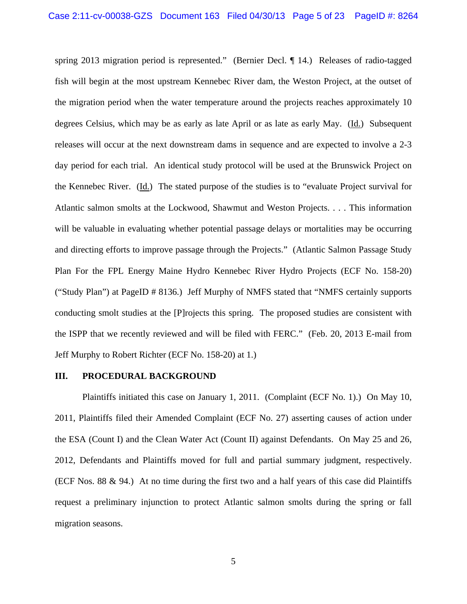spring 2013 migration period is represented." (Bernier Decl. ¶ 14.) Releases of radio-tagged fish will begin at the most upstream Kennebec River dam, the Weston Project, at the outset of the migration period when the water temperature around the projects reaches approximately 10 degrees Celsius, which may be as early as late April or as late as early May. (Id.) Subsequent releases will occur at the next downstream dams in sequence and are expected to involve a 2-3 day period for each trial. An identical study protocol will be used at the Brunswick Project on the Kennebec River. (Id.) The stated purpose of the studies is to "evaluate Project survival for Atlantic salmon smolts at the Lockwood, Shawmut and Weston Projects. . . . This information will be valuable in evaluating whether potential passage delays or mortalities may be occurring and directing efforts to improve passage through the Projects." (Atlantic Salmon Passage Study Plan For the FPL Energy Maine Hydro Kennebec River Hydro Projects (ECF No. 158-20) ("Study Plan") at PageID # 8136.) Jeff Murphy of NMFS stated that "NMFS certainly supports conducting smolt studies at the [P]rojects this spring. The proposed studies are consistent with the ISPP that we recently reviewed and will be filed with FERC." (Feb. 20, 2013 E-mail from Jeff Murphy to Robert Richter (ECF No. 158-20) at 1.)

#### **III. PROCEDURAL BACKGROUND**

 Plaintiffs initiated this case on January 1, 2011. (Complaint (ECF No. 1).) On May 10, 2011, Plaintiffs filed their Amended Complaint (ECF No. 27) asserting causes of action under the ESA (Count I) and the Clean Water Act (Count II) against Defendants. On May 25 and 26, 2012, Defendants and Plaintiffs moved for full and partial summary judgment, respectively. (ECF Nos. 88 & 94.) At no time during the first two and a half years of this case did Plaintiffs request a preliminary injunction to protect Atlantic salmon smolts during the spring or fall migration seasons.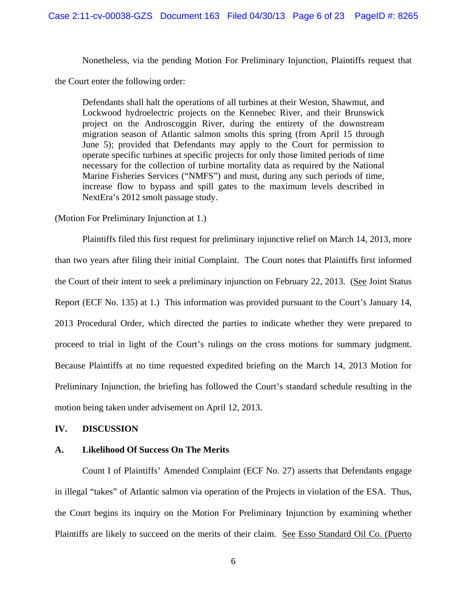Nonetheless, via the pending Motion For Preliminary Injunction, Plaintiffs request that

the Court enter the following order:

Defendants shall halt the operations of all turbines at their Weston, Shawmut, and Lockwood hydroelectric projects on the Kennebec River, and their Brunswick project on the Androscoggin River, during the entirety of the downstream migration season of Atlantic salmon smolts this spring (from April 15 through June 5); provided that Defendants may apply to the Court for permission to operate specific turbines at specific projects for only those limited periods of time necessary for the collection of turbine mortality data as required by the National Marine Fisheries Services ("NMFS") and must, during any such periods of time, increase flow to bypass and spill gates to the maximum levels described in NextEra's 2012 smolt passage study.

(Motion For Preliminary Injunction at 1.)

Plaintiffs filed this first request for preliminary injunctive relief on March 14, 2013, more than two years after filing their initial Complaint. The Court notes that Plaintiffs first informed the Court of their intent to seek a preliminary injunction on February 22, 2013. (See Joint Status Report (ECF No. 135) at 1.) This information was provided pursuant to the Court's January 14, 2013 Procedural Order, which directed the parties to indicate whether they were prepared to proceed to trial in light of the Court's rulings on the cross motions for summary judgment. Because Plaintiffs at no time requested expedited briefing on the March 14, 2013 Motion for Preliminary Injunction, the briefing has followed the Court's standard schedule resulting in the motion being taken under advisement on April 12, 2013.

## **IV. DISCUSSION**

## **A. Likelihood Of Success On The Merits**

Count I of Plaintiffs' Amended Complaint (ECF No. 27) asserts that Defendants engage in illegal "takes" of Atlantic salmon via operation of the Projects in violation of the ESA. Thus, the Court begins its inquiry on the Motion For Preliminary Injunction by examining whether Plaintiffs are likely to succeed on the merits of their claim. See Esso Standard Oil Co. (Puerto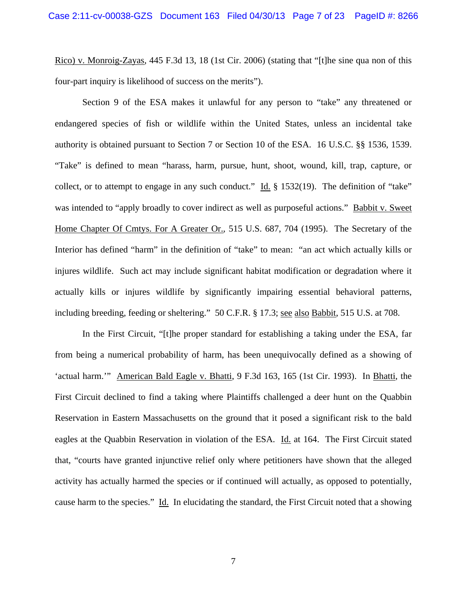Rico) v. Monroig-Zayas, 445 F.3d 13, 18 (1st Cir. 2006) (stating that "[t]he sine qua non of this four-part inquiry is likelihood of success on the merits").

 Section 9 of the ESA makes it unlawful for any person to "take" any threatened or endangered species of fish or wildlife within the United States, unless an incidental take authority is obtained pursuant to Section 7 or Section 10 of the ESA. 16 U.S.C. §§ 1536, 1539. "Take" is defined to mean "harass, harm, pursue, hunt, shoot, wound, kill, trap, capture, or collect, or to attempt to engage in any such conduct." Id. § 1532(19). The definition of "take" was intended to "apply broadly to cover indirect as well as purposeful actions." Babbit v. Sweet Home Chapter Of Cmtys. For A Greater Or., 515 U.S. 687, 704 (1995). The Secretary of the Interior has defined "harm" in the definition of "take" to mean: "an act which actually kills or injures wildlife. Such act may include significant habitat modification or degradation where it actually kills or injures wildlife by significantly impairing essential behavioral patterns, including breeding, feeding or sheltering." 50 C.F.R. § 17.3; see also Babbit, 515 U.S. at 708.

 In the First Circuit, "[t]he proper standard for establishing a taking under the ESA, far from being a numerical probability of harm, has been unequivocally defined as a showing of 'actual harm.'" American Bald Eagle v. Bhatti, 9 F.3d 163, 165 (1st Cir. 1993). In Bhatti, the First Circuit declined to find a taking where Plaintiffs challenged a deer hunt on the Quabbin Reservation in Eastern Massachusetts on the ground that it posed a significant risk to the bald eagles at the Quabbin Reservation in violation of the ESA. Id. at 164. The First Circuit stated that, "courts have granted injunctive relief only where petitioners have shown that the alleged activity has actually harmed the species or if continued will actually, as opposed to potentially, cause harm to the species." Id. In elucidating the standard, the First Circuit noted that a showing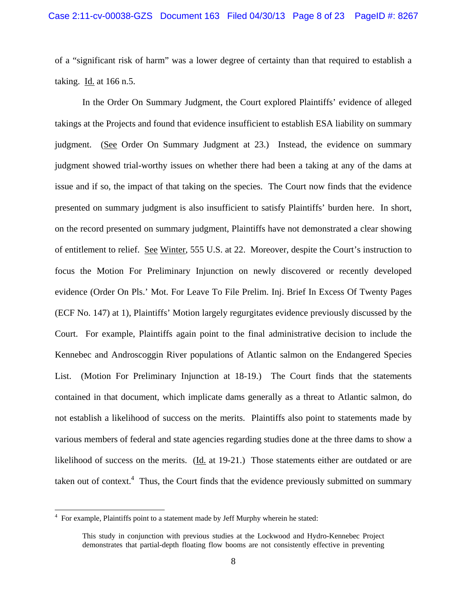of a "significant risk of harm" was a lower degree of certainty than that required to establish a taking. Id. at 166 n.5.

 In the Order On Summary Judgment, the Court explored Plaintiffs' evidence of alleged takings at the Projects and found that evidence insufficient to establish ESA liability on summary judgment. (See Order On Summary Judgment at 23.) Instead, the evidence on summary judgment showed trial-worthy issues on whether there had been a taking at any of the dams at issue and if so, the impact of that taking on the species. The Court now finds that the evidence presented on summary judgment is also insufficient to satisfy Plaintiffs' burden here. In short, on the record presented on summary judgment, Plaintiffs have not demonstrated a clear showing of entitlement to relief. See Winter, 555 U.S. at 22. Moreover, despite the Court's instruction to focus the Motion For Preliminary Injunction on newly discovered or recently developed evidence (Order On Pls.' Mot. For Leave To File Prelim. Inj. Brief In Excess Of Twenty Pages (ECF No. 147) at 1), Plaintiffs' Motion largely regurgitates evidence previously discussed by the Court. For example, Plaintiffs again point to the final administrative decision to include the Kennebec and Androscoggin River populations of Atlantic salmon on the Endangered Species List. (Motion For Preliminary Injunction at 18-19.) The Court finds that the statements contained in that document, which implicate dams generally as a threat to Atlantic salmon, do not establish a likelihood of success on the merits. Plaintiffs also point to statements made by various members of federal and state agencies regarding studies done at the three dams to show a likelihood of success on the merits. (Id. at 19-21.) Those statements either are outdated or are taken out of context.<sup>4</sup> Thus, the Court finds that the evidence previously submitted on summary

 4 For example, Plaintiffs point to a statement made by Jeff Murphy wherein he stated:

This study in conjunction with previous studies at the Lockwood and Hydro-Kennebec Project demonstrates that partial-depth floating flow booms are not consistently effective in preventing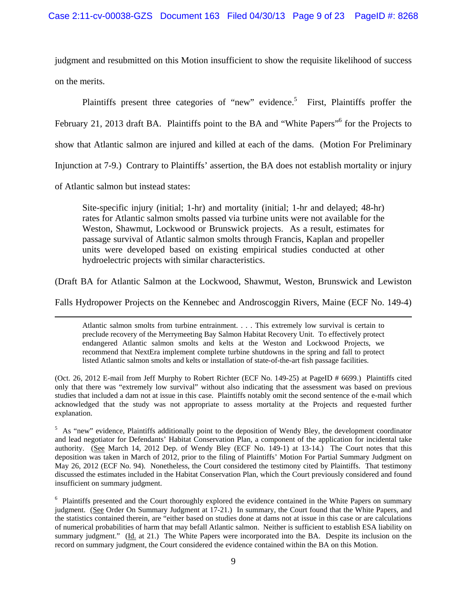judgment and resubmitted on this Motion insufficient to show the requisite likelihood of success on the merits.

Plaintiffs present three categories of "new" evidence.<sup>5</sup> First, Plaintiffs proffer the February 21, 2013 draft BA. Plaintiffs point to the BA and "White Papers"<sup>6</sup> for the Projects to show that Atlantic salmon are injured and killed at each of the dams. (Motion For Preliminary Injunction at 7-9.) Contrary to Plaintiffs' assertion, the BA does not establish mortality or injury of Atlantic salmon but instead states:

Site-specific injury (initial; 1-hr) and mortality (initial; 1-hr and delayed; 48-hr) rates for Atlantic salmon smolts passed via turbine units were not available for the Weston, Shawmut, Lockwood or Brunswick projects. As a result, estimates for passage survival of Atlantic salmon smolts through Francis, Kaplan and propeller units were developed based on existing empirical studies conducted at other hydroelectric projects with similar characteristics.

(Draft BA for Atlantic Salmon at the Lockwood, Shawmut, Weston, Brunswick and Lewiston

Falls Hydropower Projects on the Kennebec and Androscoggin Rivers, Maine (ECF No. 149-4) <u> 1989 - Johann Stoff, amerikansk politiker (d. 1989)</u>

Atlantic salmon smolts from turbine entrainment. . . . This extremely low survival is certain to preclude recovery of the Merrymeeting Bay Salmon Habitat Recovery Unit. To effectively protect endangered Atlantic salmon smolts and kelts at the Weston and Lockwood Projects, we recommend that NextEra implement complete turbine shutdowns in the spring and fall to protect listed Atlantic salmon smolts and kelts or installation of state-of-the-art fish passage facilities.

(Oct. 26, 2012 E-mail from Jeff Murphy to Robert Richter (ECF No. 149-25) at PageID # 6699.) Plaintiffs cited only that there was "extremely low survival" without also indicating that the assessment was based on previous studies that included a dam not at issue in this case. Plaintiffs notably omit the second sentence of the e-mail which acknowledged that the study was not appropriate to assess mortality at the Projects and requested further explanation.

<sup>5</sup> As "new" evidence, Plaintiffs additionally point to the deposition of Wendy Bley, the development coordinator and lead negotiator for Defendants' Habitat Conservation Plan, a component of the application for incidental take authority. (See March 14, 2012 Dep. of Wendy Bley (ECF No. 149-1) at 13-14.) The Court notes that this deposition was taken in March of 2012, prior to the filing of Plaintiffs' Motion For Partial Summary Judgment on May 26, 2012 (ECF No. 94). Nonetheless, the Court considered the testimony cited by Plaintiffs. That testimony discussed the estimates included in the Habitat Conservation Plan, which the Court previously considered and found insufficient on summary judgment.

<sup>6</sup> Plaintiffs presented and the Court thoroughly explored the evidence contained in the White Papers on summary judgment. (See Order On Summary Judgment at 17-21.) In summary, the Court found that the White Papers, and the statistics contained therein, are "either based on studies done at dams not at issue in this case or are calculations of numerical probabilities of harm that may befall Atlantic salmon. Neither is sufficient to establish ESA liability on summary judgment." (Id. at 21.) The White Papers were incorporated into the BA. Despite its inclusion on the record on summary judgment, the Court considered the evidence contained within the BA on this Motion.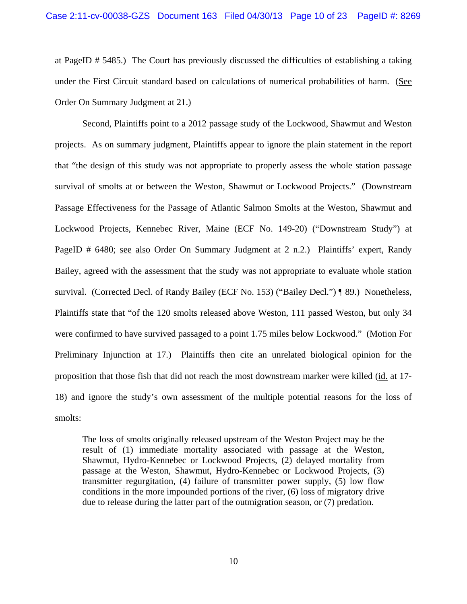at PageID # 5485.) The Court has previously discussed the difficulties of establishing a taking under the First Circuit standard based on calculations of numerical probabilities of harm. (See Order On Summary Judgment at 21.)

Second, Plaintiffs point to a 2012 passage study of the Lockwood, Shawmut and Weston projects. As on summary judgment, Plaintiffs appear to ignore the plain statement in the report that "the design of this study was not appropriate to properly assess the whole station passage survival of smolts at or between the Weston, Shawmut or Lockwood Projects." (Downstream Passage Effectiveness for the Passage of Atlantic Salmon Smolts at the Weston, Shawmut and Lockwood Projects, Kennebec River, Maine (ECF No. 149-20) ("Downstream Study") at PageID # 6480; see also Order On Summary Judgment at 2 n.2.) Plaintiffs' expert, Randy Bailey, agreed with the assessment that the study was not appropriate to evaluate whole station survival. (Corrected Decl. of Randy Bailey (ECF No. 153) ("Bailey Decl.") ¶ 89.) Nonetheless, Plaintiffs state that "of the 120 smolts released above Weston, 111 passed Weston, but only 34 were confirmed to have survived passaged to a point 1.75 miles below Lockwood." (Motion For Preliminary Injunction at 17.) Plaintiffs then cite an unrelated biological opinion for the proposition that those fish that did not reach the most downstream marker were killed (id. at 17- 18) and ignore the study's own assessment of the multiple potential reasons for the loss of smolts:

The loss of smolts originally released upstream of the Weston Project may be the result of (1) immediate mortality associated with passage at the Weston, Shawmut, Hydro-Kennebec or Lockwood Projects, (2) delayed mortality from passage at the Weston, Shawmut, Hydro-Kennebec or Lockwood Projects, (3) transmitter regurgitation, (4) failure of transmitter power supply, (5) low flow conditions in the more impounded portions of the river, (6) loss of migratory drive due to release during the latter part of the outmigration season, or (7) predation.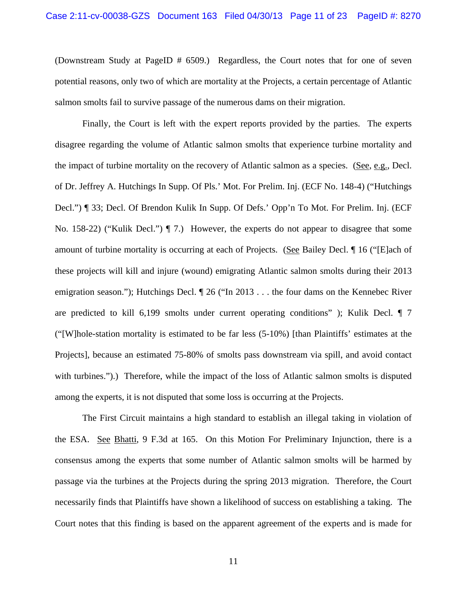(Downstream Study at PageID # 6509.) Regardless, the Court notes that for one of seven potential reasons, only two of which are mortality at the Projects, a certain percentage of Atlantic salmon smolts fail to survive passage of the numerous dams on their migration.

 Finally, the Court is left with the expert reports provided by the parties. The experts disagree regarding the volume of Atlantic salmon smolts that experience turbine mortality and the impact of turbine mortality on the recovery of Atlantic salmon as a species. (See, e.g., Decl. of Dr. Jeffrey A. Hutchings In Supp. Of Pls.' Mot. For Prelim. Inj. (ECF No. 148-4) ("Hutchings Decl.") ¶ 33; Decl. Of Brendon Kulik In Supp. Of Defs.' Opp'n To Mot. For Prelim. Inj. (ECF No. 158-22) ("Kulik Decl.") ¶ 7.) However, the experts do not appear to disagree that some amount of turbine mortality is occurring at each of Projects. (See Bailey Decl. ¶ 16 ("[E]ach of these projects will kill and injure (wound) emigrating Atlantic salmon smolts during their 2013 emigration season."); Hutchings Decl.  $\parallel$  26 ("In 2013 . . . the four dams on the Kennebec River are predicted to kill 6,199 smolts under current operating conditions" ); Kulik Decl. ¶ 7 ("[W]hole-station mortality is estimated to be far less (5-10%) [than Plaintiffs' estimates at the Projects], because an estimated 75-80% of smolts pass downstream via spill, and avoid contact with turbines.").) Therefore, while the impact of the loss of Atlantic salmon smolts is disputed among the experts, it is not disputed that some loss is occurring at the Projects.

 The First Circuit maintains a high standard to establish an illegal taking in violation of the ESA. See Bhatti, 9 F.3d at 165. On this Motion For Preliminary Injunction, there is a consensus among the experts that some number of Atlantic salmon smolts will be harmed by passage via the turbines at the Projects during the spring 2013 migration. Therefore, the Court necessarily finds that Plaintiffs have shown a likelihood of success on establishing a taking. The Court notes that this finding is based on the apparent agreement of the experts and is made for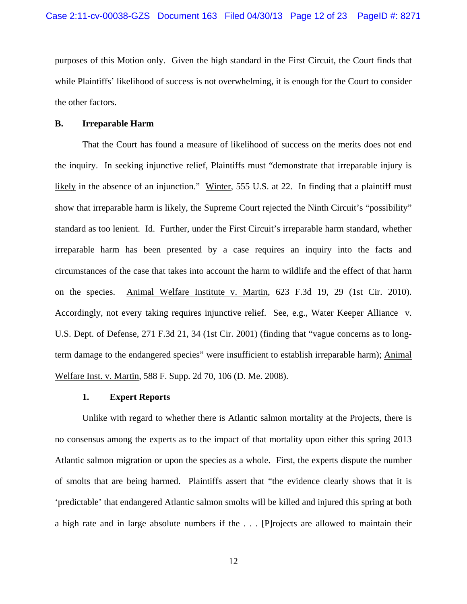purposes of this Motion only. Given the high standard in the First Circuit, the Court finds that while Plaintiffs' likelihood of success is not overwhelming, it is enough for the Court to consider the other factors.

#### **B. Irreparable Harm**

 That the Court has found a measure of likelihood of success on the merits does not end the inquiry. In seeking injunctive relief, Plaintiffs must "demonstrate that irreparable injury is likely in the absence of an injunction." Winter, 555 U.S. at 22. In finding that a plaintiff must show that irreparable harm is likely, the Supreme Court rejected the Ninth Circuit's "possibility" standard as too lenient. Id. Further, under the First Circuit's irreparable harm standard, whether irreparable harm has been presented by a case requires an inquiry into the facts and circumstances of the case that takes into account the harm to wildlife and the effect of that harm on the species. Animal Welfare Institute v. Martin, 623 F.3d 19, 29 (1st Cir. 2010). Accordingly, not every taking requires injunctive relief. See, e.g., Water Keeper Alliance v. U.S. Dept. of Defense, 271 F.3d 21, 34 (1st Cir. 2001) (finding that "vague concerns as to longterm damage to the endangered species" were insufficient to establish irreparable harm); Animal Welfare Inst. v. Martin, 588 F. Supp. 2d 70, 106 (D. Me. 2008).

#### **1. Expert Reports**

 Unlike with regard to whether there is Atlantic salmon mortality at the Projects, there is no consensus among the experts as to the impact of that mortality upon either this spring 2013 Atlantic salmon migration or upon the species as a whole. First, the experts dispute the number of smolts that are being harmed. Plaintiffs assert that "the evidence clearly shows that it is 'predictable' that endangered Atlantic salmon smolts will be killed and injured this spring at both a high rate and in large absolute numbers if the . . . [P]rojects are allowed to maintain their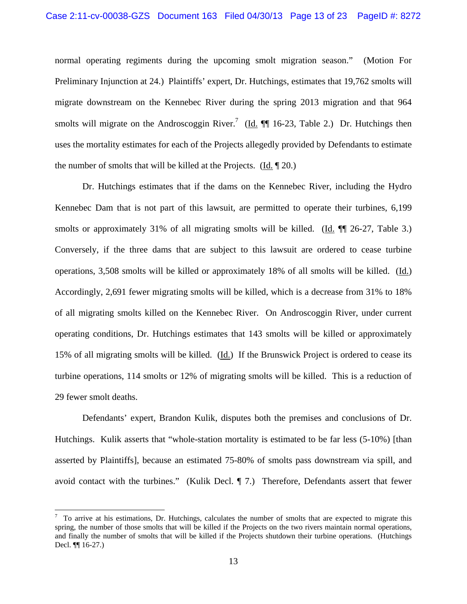normal operating regiments during the upcoming smolt migration season." (Motion For Preliminary Injunction at 24.) Plaintiffs' expert, Dr. Hutchings, estimates that 19,762 smolts will migrate downstream on the Kennebec River during the spring 2013 migration and that 964 smolts will migrate on the Androscoggin River.<sup>7</sup> (Id.  $\P$  16-23, Table 2.) Dr. Hutchings then uses the mortality estimates for each of the Projects allegedly provided by Defendants to estimate the number of smolts that will be killed at the Projects. (Id. ¶ 20.)

 Dr. Hutchings estimates that if the dams on the Kennebec River, including the Hydro Kennebec Dam that is not part of this lawsuit, are permitted to operate their turbines, 6,199 smolts or approximately 31% of all migrating smolts will be killed. (Id.  $\P$  26-27, Table 3.) Conversely, if the three dams that are subject to this lawsuit are ordered to cease turbine operations, 3,508 smolts will be killed or approximately 18% of all smolts will be killed. (Id.) Accordingly, 2,691 fewer migrating smolts will be killed, which is a decrease from 31% to 18% of all migrating smolts killed on the Kennebec River. On Androscoggin River, under current operating conditions, Dr. Hutchings estimates that 143 smolts will be killed or approximately 15% of all migrating smolts will be killed. (Id.) If the Brunswick Project is ordered to cease its turbine operations, 114 smolts or 12% of migrating smolts will be killed. This is a reduction of 29 fewer smolt deaths.

 Defendants' expert, Brandon Kulik, disputes both the premises and conclusions of Dr. Hutchings. Kulik asserts that "whole-station mortality is estimated to be far less (5-10%) [than asserted by Plaintiffs], because an estimated 75-80% of smolts pass downstream via spill, and avoid contact with the turbines." (Kulik Decl. ¶ 7.) Therefore, Defendants assert that fewer

 $7\,$  To arrive at his estimations, Dr. Hutchings, calculates the number of smolts that are expected to migrate this spring, the number of those smolts that will be killed if the Projects on the two rivers maintain normal operations, and finally the number of smolts that will be killed if the Projects shutdown their turbine operations. (Hutchings Decl. ¶¶ 16-27.)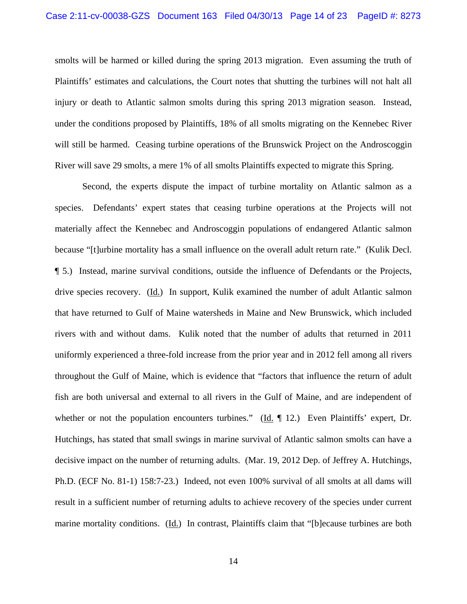smolts will be harmed or killed during the spring 2013 migration. Even assuming the truth of Plaintiffs' estimates and calculations, the Court notes that shutting the turbines will not halt all injury or death to Atlantic salmon smolts during this spring 2013 migration season. Instead, under the conditions proposed by Plaintiffs, 18% of all smolts migrating on the Kennebec River will still be harmed. Ceasing turbine operations of the Brunswick Project on the Androscoggin River will save 29 smolts, a mere 1% of all smolts Plaintiffs expected to migrate this Spring.

 Second, the experts dispute the impact of turbine mortality on Atlantic salmon as a species. Defendants' expert states that ceasing turbine operations at the Projects will not materially affect the Kennebec and Androscoggin populations of endangered Atlantic salmon because "[t]urbine mortality has a small influence on the overall adult return rate." (Kulik Decl. ¶ 5.) Instead, marine survival conditions, outside the influence of Defendants or the Projects, drive species recovery. (Id.) In support, Kulik examined the number of adult Atlantic salmon that have returned to Gulf of Maine watersheds in Maine and New Brunswick, which included rivers with and without dams. Kulik noted that the number of adults that returned in 2011 uniformly experienced a three-fold increase from the prior year and in 2012 fell among all rivers throughout the Gulf of Maine, which is evidence that "factors that influence the return of adult fish are both universal and external to all rivers in the Gulf of Maine, and are independent of whether or not the population encounters turbines." ( $\underline{Id}$ .  $\P$  12.) Even Plaintiffs' expert, Dr. Hutchings, has stated that small swings in marine survival of Atlantic salmon smolts can have a decisive impact on the number of returning adults. (Mar. 19, 2012 Dep. of Jeffrey A. Hutchings, Ph.D. (ECF No. 81-1) 158:7-23.) Indeed, not even 100% survival of all smolts at all dams will result in a sufficient number of returning adults to achieve recovery of the species under current marine mortality conditions. (Id.) In contrast, Plaintiffs claim that "[b] ecause turbines are both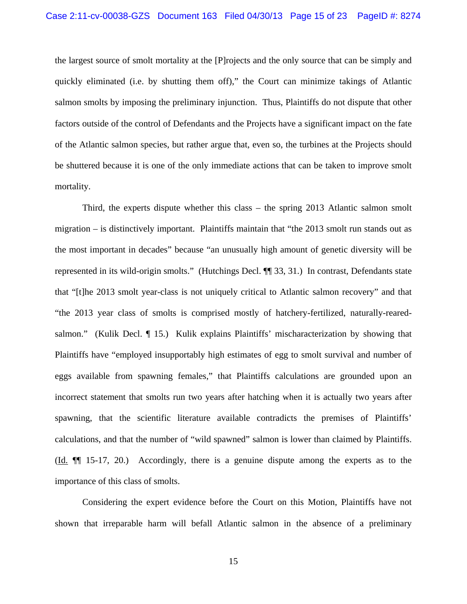the largest source of smolt mortality at the [P]rojects and the only source that can be simply and quickly eliminated (i.e. by shutting them off)," the Court can minimize takings of Atlantic salmon smolts by imposing the preliminary injunction. Thus, Plaintiffs do not dispute that other factors outside of the control of Defendants and the Projects have a significant impact on the fate of the Atlantic salmon species, but rather argue that, even so, the turbines at the Projects should be shuttered because it is one of the only immediate actions that can be taken to improve smolt mortality.

 Third, the experts dispute whether this class – the spring 2013 Atlantic salmon smolt migration – is distinctively important. Plaintiffs maintain that "the 2013 smolt run stands out as the most important in decades" because "an unusually high amount of genetic diversity will be represented in its wild-origin smolts." (Hutchings Decl. ¶¶ 33, 31.) In contrast, Defendants state that "[t]he 2013 smolt year-class is not uniquely critical to Atlantic salmon recovery" and that "the 2013 year class of smolts is comprised mostly of hatchery-fertilized, naturally-rearedsalmon." (Kulik Decl. ¶ 15.) Kulik explains Plaintiffs' mischaracterization by showing that Plaintiffs have "employed insupportably high estimates of egg to smolt survival and number of eggs available from spawning females," that Plaintiffs calculations are grounded upon an incorrect statement that smolts run two years after hatching when it is actually two years after spawning, that the scientific literature available contradicts the premises of Plaintiffs' calculations, and that the number of "wild spawned" salmon is lower than claimed by Plaintiffs. (Id. ¶¶ 15-17, 20.) Accordingly, there is a genuine dispute among the experts as to the importance of this class of smolts.

 Considering the expert evidence before the Court on this Motion, Plaintiffs have not shown that irreparable harm will befall Atlantic salmon in the absence of a preliminary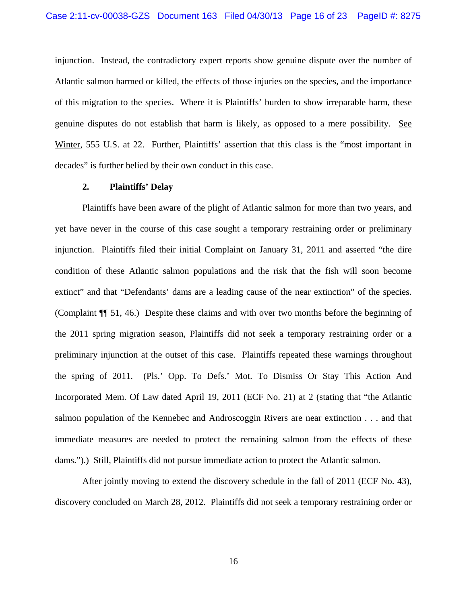injunction. Instead, the contradictory expert reports show genuine dispute over the number of Atlantic salmon harmed or killed, the effects of those injuries on the species, and the importance of this migration to the species. Where it is Plaintiffs' burden to show irreparable harm, these genuine disputes do not establish that harm is likely, as opposed to a mere possibility. See Winter, 555 U.S. at 22. Further, Plaintiffs' assertion that this class is the "most important in decades" is further belied by their own conduct in this case.

#### **2. Plaintiffs' Delay**

 Plaintiffs have been aware of the plight of Atlantic salmon for more than two years, and yet have never in the course of this case sought a temporary restraining order or preliminary injunction. Plaintiffs filed their initial Complaint on January 31, 2011 and asserted "the dire condition of these Atlantic salmon populations and the risk that the fish will soon become extinct" and that "Defendants' dams are a leading cause of the near extinction" of the species. (Complaint ¶¶ 51, 46.) Despite these claims and with over two months before the beginning of the 2011 spring migration season, Plaintiffs did not seek a temporary restraining order or a preliminary injunction at the outset of this case. Plaintiffs repeated these warnings throughout the spring of 2011. (Pls.' Opp. To Defs.' Mot. To Dismiss Or Stay This Action And Incorporated Mem. Of Law dated April 19, 2011 (ECF No. 21) at 2 (stating that "the Atlantic salmon population of the Kennebec and Androscoggin Rivers are near extinction . . . and that immediate measures are needed to protect the remaining salmon from the effects of these dams.").) Still, Plaintiffs did not pursue immediate action to protect the Atlantic salmon.

 After jointly moving to extend the discovery schedule in the fall of 2011 (ECF No. 43), discovery concluded on March 28, 2012. Plaintiffs did not seek a temporary restraining order or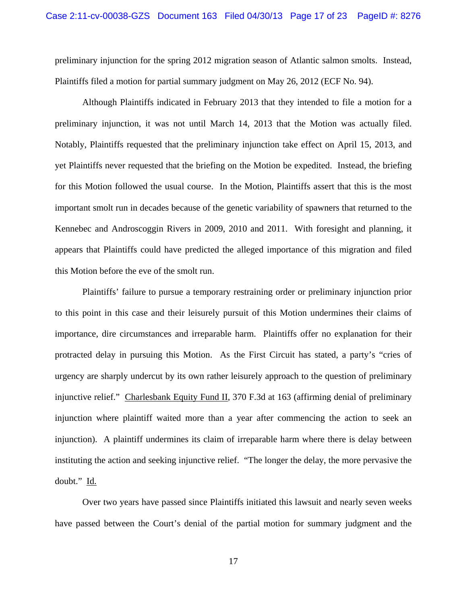preliminary injunction for the spring 2012 migration season of Atlantic salmon smolts. Instead, Plaintiffs filed a motion for partial summary judgment on May 26, 2012 (ECF No. 94).

 Although Plaintiffs indicated in February 2013 that they intended to file a motion for a preliminary injunction, it was not until March 14, 2013 that the Motion was actually filed. Notably, Plaintiffs requested that the preliminary injunction take effect on April 15, 2013, and yet Plaintiffs never requested that the briefing on the Motion be expedited. Instead, the briefing for this Motion followed the usual course. In the Motion, Plaintiffs assert that this is the most important smolt run in decades because of the genetic variability of spawners that returned to the Kennebec and Androscoggin Rivers in 2009, 2010 and 2011. With foresight and planning, it appears that Plaintiffs could have predicted the alleged importance of this migration and filed this Motion before the eve of the smolt run.

 Plaintiffs' failure to pursue a temporary restraining order or preliminary injunction prior to this point in this case and their leisurely pursuit of this Motion undermines their claims of importance, dire circumstances and irreparable harm. Plaintiffs offer no explanation for their protracted delay in pursuing this Motion. As the First Circuit has stated, a party's "cries of urgency are sharply undercut by its own rather leisurely approach to the question of preliminary injunctive relief." Charlesbank Equity Fund II, 370 F.3d at 163 (affirming denial of preliminary injunction where plaintiff waited more than a year after commencing the action to seek an injunction). A plaintiff undermines its claim of irreparable harm where there is delay between instituting the action and seeking injunctive relief. "The longer the delay, the more pervasive the doubt." Id.

 Over two years have passed since Plaintiffs initiated this lawsuit and nearly seven weeks have passed between the Court's denial of the partial motion for summary judgment and the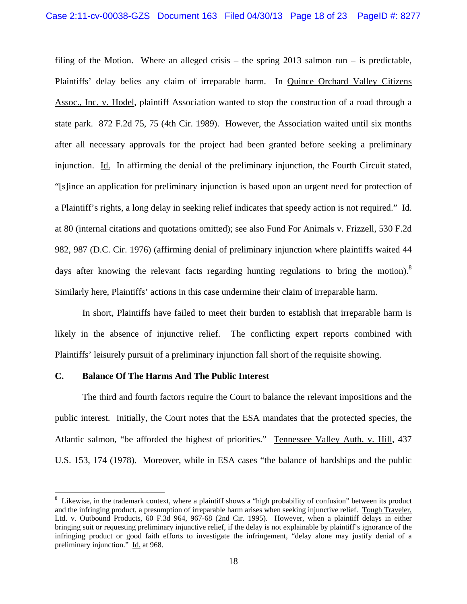filing of the Motion. Where an alleged crisis – the spring 2013 salmon run – is predictable, Plaintiffs' delay belies any claim of irreparable harm. In Quince Orchard Valley Citizens Assoc., Inc. v. Hodel, plaintiff Association wanted to stop the construction of a road through a state park. 872 F.2d 75, 75 (4th Cir. 1989). However, the Association waited until six months after all necessary approvals for the project had been granted before seeking a preliminary injunction. Id. In affirming the denial of the preliminary injunction, the Fourth Circuit stated, "[s]ince an application for preliminary injunction is based upon an urgent need for protection of a Plaintiff's rights, a long delay in seeking relief indicates that speedy action is not required." Id. at 80 (internal citations and quotations omitted); see also Fund For Animals v. Frizzell, 530 F.2d 982, 987 (D.C. Cir. 1976) (affirming denial of preliminary injunction where plaintiffs waited 44 days after knowing the relevant facts regarding hunting regulations to bring the motion).<sup>8</sup> Similarly here, Plaintiffs' actions in this case undermine their claim of irreparable harm.

 In short, Plaintiffs have failed to meet their burden to establish that irreparable harm is likely in the absence of injunctive relief. The conflicting expert reports combined with Plaintiffs' leisurely pursuit of a preliminary injunction fall short of the requisite showing.

#### **C. Balance Of The Harms And The Public Interest**

 The third and fourth factors require the Court to balance the relevant impositions and the public interest. Initially, the Court notes that the ESA mandates that the protected species, the Atlantic salmon, "be afforded the highest of priorities." Tennessee Valley Auth. v. Hill, 437 U.S. 153, 174 (1978). Moreover, while in ESA cases "the balance of hardships and the public

<sup>&</sup>lt;sup>8</sup> Likewise, in the trademark context, where a plaintiff shows a "high probability of confusion" between its product and the infringing product, a presumption of irreparable harm arises when seeking injunctive relief. Tough Traveler, Ltd. v. Outbound Products, 60 F.3d 964, 967-68 (2nd Cir. 1995). However, when a plaintiff delays in either bringing suit or requesting preliminary injunctive relief, if the delay is not explainable by plaintiff's ignorance of the infringing product or good faith efforts to investigate the infringement, "delay alone may justify denial of a preliminary injunction." Id. at 968.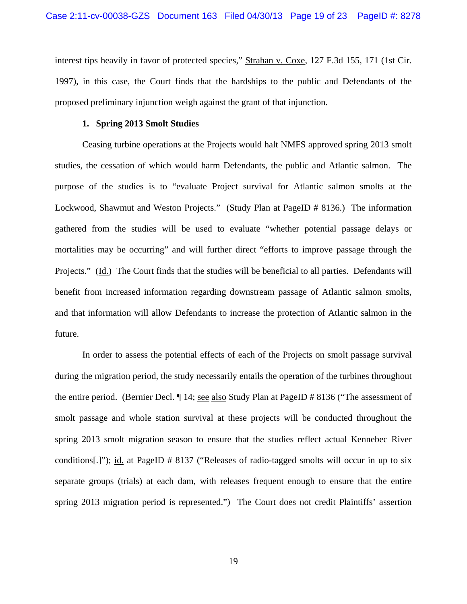interest tips heavily in favor of protected species," Strahan v. Coxe, 127 F.3d 155, 171 (1st Cir. 1997), in this case, the Court finds that the hardships to the public and Defendants of the proposed preliminary injunction weigh against the grant of that injunction.

#### **1. Spring 2013 Smolt Studies**

Ceasing turbine operations at the Projects would halt NMFS approved spring 2013 smolt studies, the cessation of which would harm Defendants, the public and Atlantic salmon. The purpose of the studies is to "evaluate Project survival for Atlantic salmon smolts at the Lockwood, Shawmut and Weston Projects." (Study Plan at PageID # 8136.) The information gathered from the studies will be used to evaluate "whether potential passage delays or mortalities may be occurring" and will further direct "efforts to improve passage through the Projects." (Id.) The Court finds that the studies will be beneficial to all parties. Defendants will benefit from increased information regarding downstream passage of Atlantic salmon smolts, and that information will allow Defendants to increase the protection of Atlantic salmon in the future.

In order to assess the potential effects of each of the Projects on smolt passage survival during the migration period, the study necessarily entails the operation of the turbines throughout the entire period. (Bernier Decl. ¶ 14; see also Study Plan at PageID # 8136 ("The assessment of smolt passage and whole station survival at these projects will be conducted throughout the spring 2013 smolt migration season to ensure that the studies reflect actual Kennebec River conditions[.]"); id. at PageID # 8137 ("Releases of radio-tagged smolts will occur in up to six separate groups (trials) at each dam, with releases frequent enough to ensure that the entire spring 2013 migration period is represented.") The Court does not credit Plaintiffs' assertion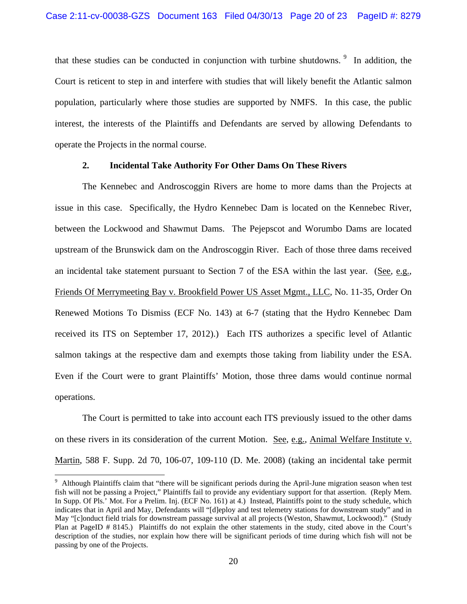that these studies can be conducted in conjunction with turbine shutdowns.  $9\%$  In addition, the Court is reticent to step in and interfere with studies that will likely benefit the Atlantic salmon population, particularly where those studies are supported by NMFS. In this case, the public interest, the interests of the Plaintiffs and Defendants are served by allowing Defendants to operate the Projects in the normal course.

#### **2. Incidental Take Authority For Other Dams On These Rivers**

 The Kennebec and Androscoggin Rivers are home to more dams than the Projects at issue in this case. Specifically, the Hydro Kennebec Dam is located on the Kennebec River, between the Lockwood and Shawmut Dams. The Pejepscot and Worumbo Dams are located upstream of the Brunswick dam on the Androscoggin River. Each of those three dams received an incidental take statement pursuant to Section 7 of the ESA within the last year. (See, e.g., Friends Of Merrymeeting Bay v. Brookfield Power US Asset Mgmt., LLC, No. 11-35, Order On Renewed Motions To Dismiss (ECF No. 143) at 6-7 (stating that the Hydro Kennebec Dam received its ITS on September 17, 2012).) Each ITS authorizes a specific level of Atlantic salmon takings at the respective dam and exempts those taking from liability under the ESA. Even if the Court were to grant Plaintiffs' Motion, those three dams would continue normal operations.

 The Court is permitted to take into account each ITS previously issued to the other dams on these rivers in its consideration of the current Motion. See, e.g., Animal Welfare Institute v. Martin, 588 F. Supp. 2d 70, 106-07, 109-110 (D. Me. 2008) (taking an incidental take permit

<sup>&</sup>lt;sup>9</sup> Although Plaintiffs claim that "there will be significant periods during the April-June migration season when test fish will not be passing a Project," Plaintiffs fail to provide any evidentiary support for that assertion. (Reply Mem. In Supp. Of Pls.' Mot. For a Prelim. Inj. (ECF No. 161) at 4.) Instead, Plaintiffs point to the study schedule, which indicates that in April and May, Defendants will "[d]eploy and test telemetry stations for downstream study" and in May "[c]onduct field trials for downstream passage survival at all projects (Weston, Shawmut, Lockwood)." (Study Plan at PageID # 8145.) Plaintiffs do not explain the other statements in the study, cited above in the Court's description of the studies, nor explain how there will be significant periods of time during which fish will not be passing by one of the Projects.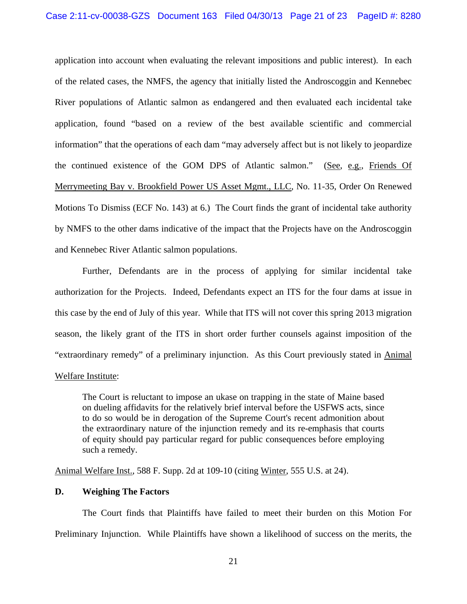application into account when evaluating the relevant impositions and public interest). In each of the related cases, the NMFS, the agency that initially listed the Androscoggin and Kennebec River populations of Atlantic salmon as endangered and then evaluated each incidental take application, found "based on a review of the best available scientific and commercial information" that the operations of each dam "may adversely affect but is not likely to jeopardize the continued existence of the GOM DPS of Atlantic salmon." (See, e.g., Friends Of Merrymeeting Bay v. Brookfield Power US Asset Mgmt., LLC, No. 11-35, Order On Renewed Motions To Dismiss (ECF No. 143) at 6.) The Court finds the grant of incidental take authority by NMFS to the other dams indicative of the impact that the Projects have on the Androscoggin and Kennebec River Atlantic salmon populations.

Further, Defendants are in the process of applying for similar incidental take authorization for the Projects. Indeed, Defendants expect an ITS for the four dams at issue in this case by the end of July of this year. While that ITS will not cover this spring 2013 migration season, the likely grant of the ITS in short order further counsels against imposition of the "extraordinary remedy" of a preliminary injunction. As this Court previously stated in Animal Welfare Institute:

The Court is reluctant to impose an ukase on trapping in the state of Maine based on dueling affidavits for the relatively brief interval before the USFWS acts, since to do so would be in derogation of the Supreme Court's recent admonition about the extraordinary nature of the injunction remedy and its re-emphasis that courts of equity should pay particular regard for public consequences before employing such a remedy.

Animal Welfare Inst., 588 F. Supp. 2d at 109-10 (citing Winter, 555 U.S. at 24).

## **D. Weighing The Factors**

The Court finds that Plaintiffs have failed to meet their burden on this Motion For Preliminary Injunction. While Plaintiffs have shown a likelihood of success on the merits, the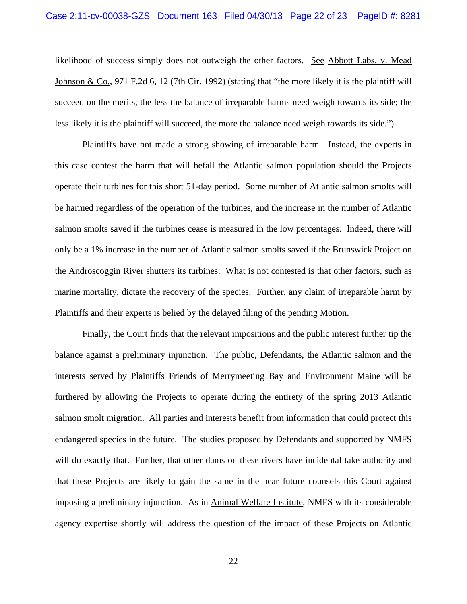likelihood of success simply does not outweigh the other factors. See Abbott Labs. v. Mead Johnson & Co., 971 F.2d 6, 12 (7th Cir. 1992) (stating that "the more likely it is the plaintiff will succeed on the merits, the less the balance of irreparable harms need weigh towards its side; the less likely it is the plaintiff will succeed, the more the balance need weigh towards its side.")

Plaintiffs have not made a strong showing of irreparable harm. Instead, the experts in this case contest the harm that will befall the Atlantic salmon population should the Projects operate their turbines for this short 51-day period. Some number of Atlantic salmon smolts will be harmed regardless of the operation of the turbines, and the increase in the number of Atlantic salmon smolts saved if the turbines cease is measured in the low percentages. Indeed, there will only be a 1% increase in the number of Atlantic salmon smolts saved if the Brunswick Project on the Androscoggin River shutters its turbines. What is not contested is that other factors, such as marine mortality, dictate the recovery of the species. Further, any claim of irreparable harm by Plaintiffs and their experts is belied by the delayed filing of the pending Motion.

Finally, the Court finds that the relevant impositions and the public interest further tip the balance against a preliminary injunction. The public, Defendants, the Atlantic salmon and the interests served by Plaintiffs Friends of Merrymeeting Bay and Environment Maine will be furthered by allowing the Projects to operate during the entirety of the spring 2013 Atlantic salmon smolt migration. All parties and interests benefit from information that could protect this endangered species in the future. The studies proposed by Defendants and supported by NMFS will do exactly that. Further, that other dams on these rivers have incidental take authority and that these Projects are likely to gain the same in the near future counsels this Court against imposing a preliminary injunction. As in Animal Welfare Institute, NMFS with its considerable agency expertise shortly will address the question of the impact of these Projects on Atlantic